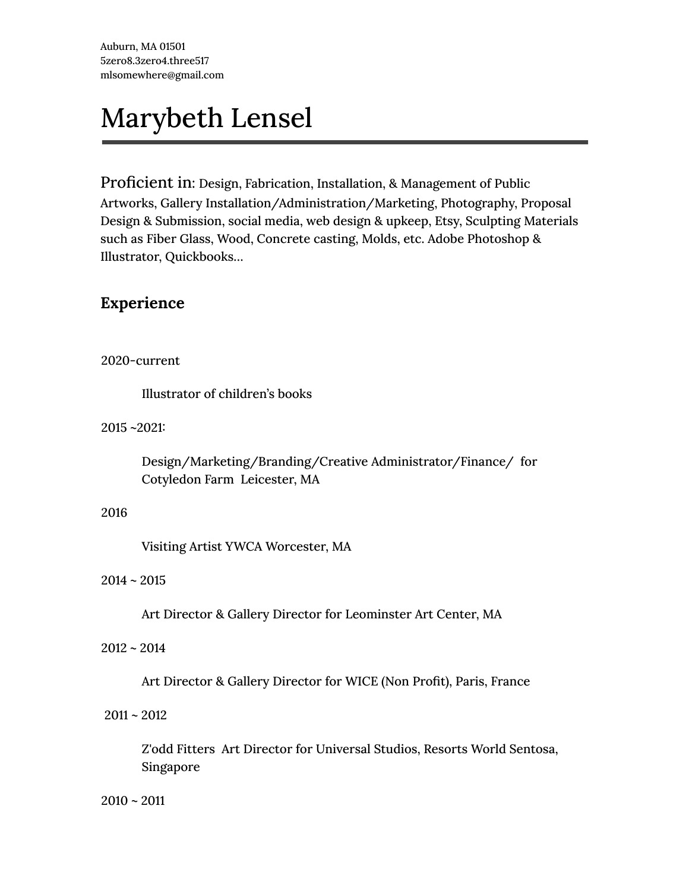# Marybeth Lensel

Proficient in: Design, Fabrication, Installation, & Management of Public Artworks, Gallery Installation/Administration/Marketing, Photography, Proposal Design & Submission, social media, web design & upkeep, Etsy, Sculpting Materials such as Fiber Glass, Wood, Concrete casting, Molds, etc. Adobe Photoshop & Illustrator, Quickbooks…

# **Experience**

#### 2020-current

Illustrator of children's books

2015 ~2021:

Design/Marketing/Branding/Creative Administrator/Finance/ for Cotyledon Farm Leicester, MA

#### 2016

Visiting Artist YWCA Worcester, MA

#### $2014 - 2015$

Art Director & Gallery Director for Leominster Art Center, MA

#### $2012 - 2014$

Art Director & Gallery Director for WICE (Non Profit), Paris, France

#### $2011 - 2012$

Z'odd Fitters Art Director for Universal Studios, Resorts World Sentosa, Singapore

2010 ~ 2011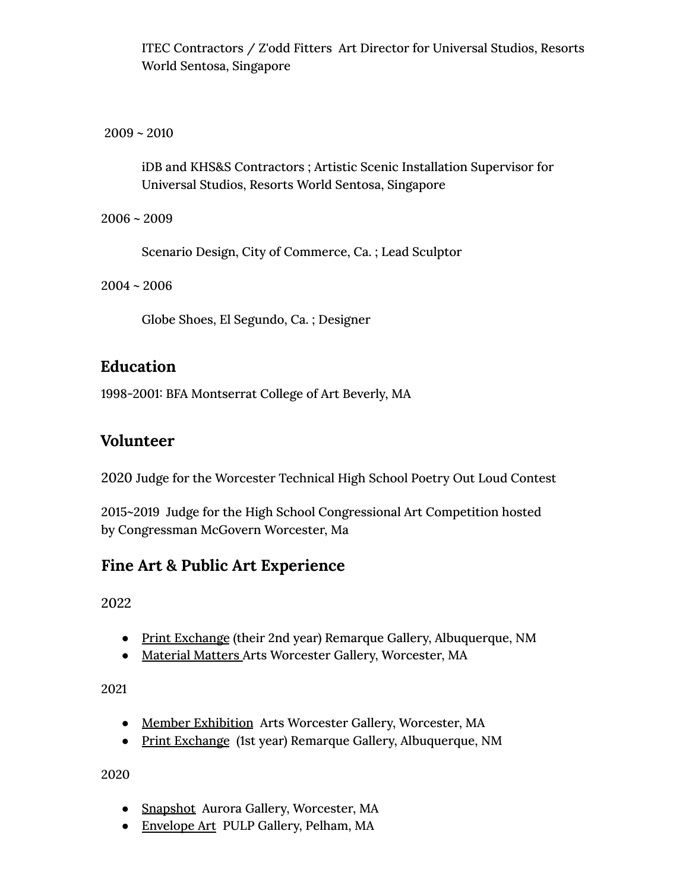ITEC Contractors / Z'odd Fitters Art Director for Universal Studios, Resorts World Sentosa, Singapore

 $2009 - 2010$ 

iDB and KHS&S Contractors ; Artistic Scenic Installation Supervisor for Universal Studios, Resorts World Sentosa, Singapore

2006 ~ 2009

Scenario Design, City of Commerce, Ca. ; Lead Sculptor

 $2004 - 2006$ 

Globe Shoes, El Segundo, Ca. ; Designer

# **Education**

1998-2001: BFA Montserrat College of Art Beverly, MA

# **Volunteer**

2020 Judge for the Worcester Technical High School Poetry Out Loud Contest

2015~2019 Judge for the High School Congressional Art Competition hosted by Congressman McGovern Worcester, Ma

# **Fine Art & Public Art Experience**

2022

- Print Exchange (their 2nd year) Remarque Gallery, Albuquerque, NM
- Material Matters Arts Worcester Gallery, Worcester, MA

2021

- Member Exhibition Arts Worcester Gallery, Worcester, MA
- Print Exchange (1st year) Remarque Gallery, Albuquerque, NM

2020

- Snapshot Aurora Gallery, Worcester, MA
- Envelope Art PULP Gallery, Pelham, MA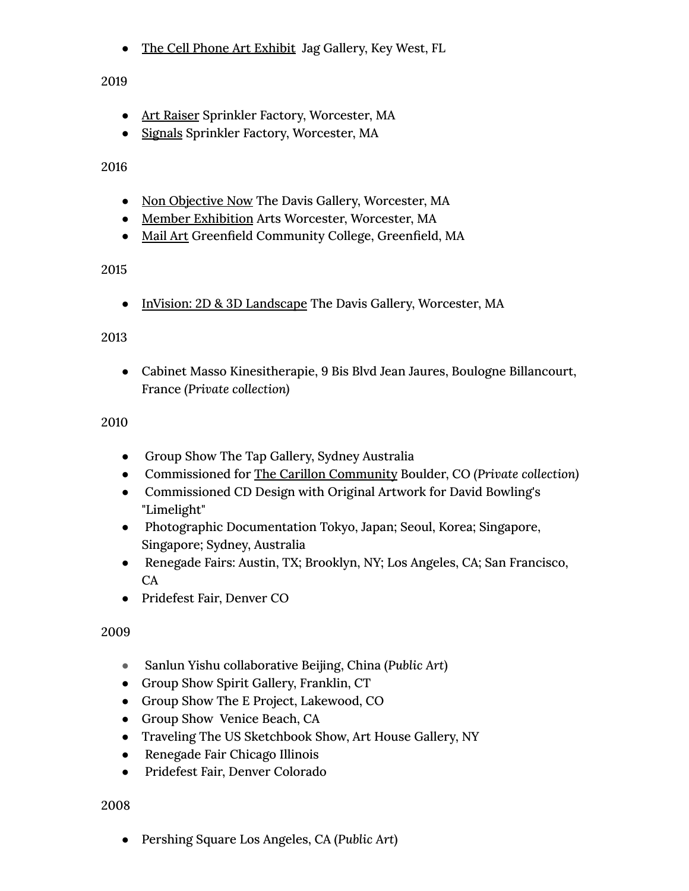• The Cell Phone Art Exhibit Jag Gallery, Key West, FL

2019

- Art Raiser Sprinkler Factory, Worcester, MA
- Signals Sprinkler Factory, Worcester, MA

2016

- Non Objective Now The Davis Gallery, Worcester, MA
- Member Exhibition Arts Worcester, Worcester, MA
- Mail Art Greenfield Community College, Greenfield, MA

# 2015

● InVision: 2D & 3D Landscape The Davis Gallery, Worcester, MA

## 2013

● Cabinet Masso Kinesitherapie, 9 Bis Blvd Jean Jaures, Boulogne Billancourt, France *(Private collection)*

## 2010

- Group Show The Tap Gallery, Sydney Australia
- [Commissioned](http://www.marybethlensel.com/portfolio/carillon.html) for The Carillon Community Boulder, CO *(Private collection)*
- Commissioned CD Design with Original Artwork for David Bowling's "Limelight"
- Photographic Documentation Tokyo, Japan; Seoul, Korea; Singapore, Singapore; Sydney, Australia
- Renegade Fairs: Austin, TX; Brooklyn, NY; Los Angeles, CA; San Francisco, CA
- Pridefest Fair, Denver CO

## 2009

- Sanlun Yishu collaborative Beijing, China (*Public Art*)
- Group Show Spirit Gallery, Franklin, CT
- Group Show The E Project, Lakewood, CO
- Group Show Venice Beach, CA
- Traveling The US Sketchbook Show, Art House Gallery, NY
- Renegade Fair Chicago Illinois
- Pridefest Fair, Denver Colorado

## 2008

● Pershing Square Los Angeles, CA (*Public Art*)